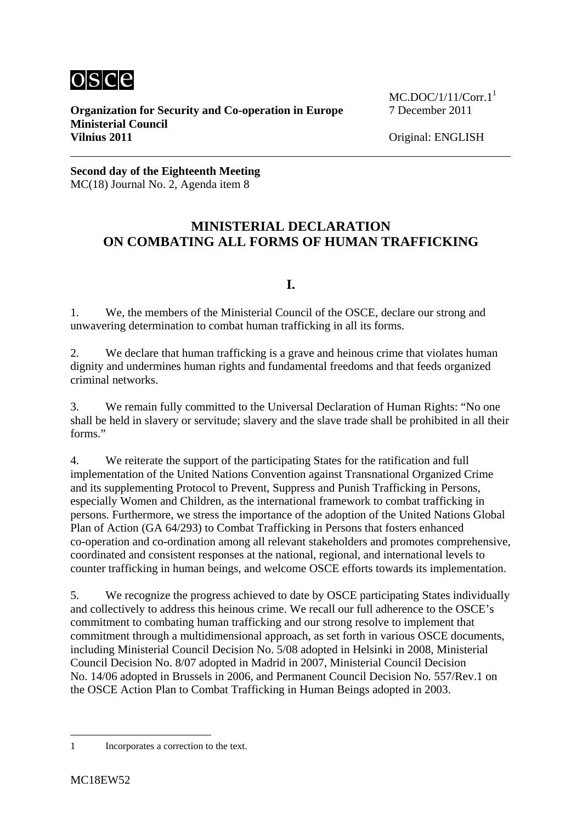

**Organization for Security and Co-operation in Europe** 7 December 2011 **Ministerial Council Vilnius 2011** Original: ENGLISH

 $MC. DOC/1/11/Corr.1<sup>1</sup>$ 

**Second day of the Eighteenth Meeting**  MC(18) Journal No. 2, Agenda item 8

## **MINISTERIAL DECLARATION ON COMBATING ALL FORMS OF HUMAN TRAFFICKING**

## **I.**

1. We, the members of the Ministerial Council of the OSCE, declare our strong and unwavering determination to combat human trafficking in all its forms.

2. We declare that human trafficking is a grave and heinous crime that violates human dignity and undermines human rights and fundamental freedoms and that feeds organized criminal networks.

3. We remain fully committed to the Universal Declaration of Human Rights: "No one shall be held in slavery or servitude; slavery and the slave trade shall be prohibited in all their forms."

4. We reiterate the support of the participating States for the ratification and full implementation of the United Nations Convention against Transnational Organized Crime and its supplementing Protocol to Prevent, Suppress and Punish Trafficking in Persons, especially Women and Children, as the international framework to combat trafficking in persons. Furthermore, we stress the importance of the adoption of the United Nations Global Plan of Action (GA 64/293) to Combat Trafficking in Persons that fosters enhanced co-operation and co-ordination among all relevant stakeholders and promotes comprehensive, coordinated and consistent responses at the national, regional, and international levels to counter trafficking in human beings, and welcome OSCE efforts towards its implementation.

5. We recognize the progress achieved to date by OSCE participating States individually and collectively to address this heinous crime. We recall our full adherence to the OSCE's commitment to combating human trafficking and our strong resolve to implement that commitment through a multidimensional approach, as set forth in various OSCE documents, including Ministerial Council Decision No. 5/08 adopted in Helsinki in 2008, Ministerial Council Decision No. 8/07 adopted in Madrid in 2007, Ministerial Council Decision No. 14/06 adopted in Brussels in 2006, and Permanent Council Decision No. 557/Rev.1 on the OSCE Action Plan to Combat Trafficking in Human Beings adopted in 2003.

1

<sup>1</sup> Incorporates a correction to the text.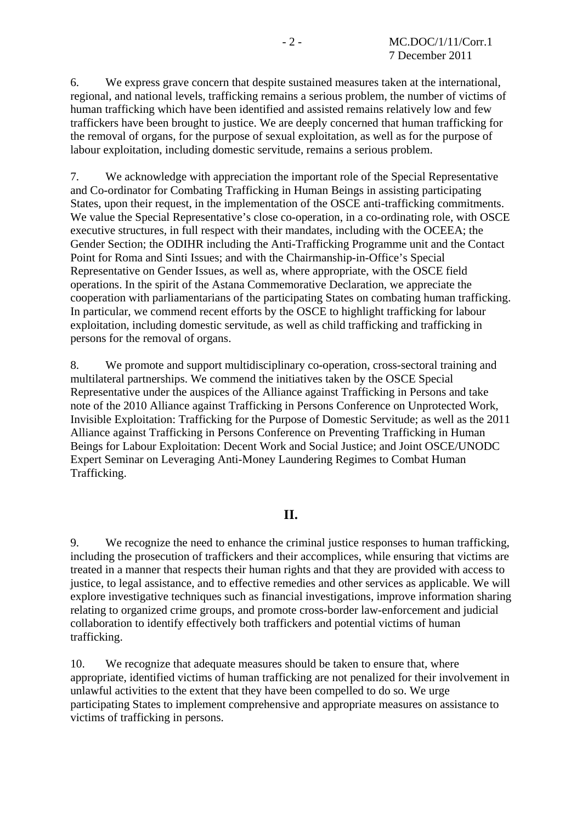6. We express grave concern that despite sustained measures taken at the international, regional, and national levels, trafficking remains a serious problem, the number of victims of human trafficking which have been identified and assisted remains relatively low and few traffickers have been brought to justice. We are deeply concerned that human trafficking for the removal of organs, for the purpose of sexual exploitation, as well as for the purpose of labour exploitation, including domestic servitude, remains a serious problem.

7. We acknowledge with appreciation the important role of the Special Representative and Co-ordinator for Combating Trafficking in Human Beings in assisting participating States, upon their request, in the implementation of the OSCE anti-trafficking commitments. We value the Special Representative's close co-operation, in a co-ordinating role, with OSCE executive structures, in full respect with their mandates, including with the OCEEA; the Gender Section; the ODIHR including the Anti-Trafficking Programme unit and the Contact Point for Roma and Sinti Issues; and with the Chairmanship-in-Office's Special Representative on Gender Issues, as well as, where appropriate, with the OSCE field operations. In the spirit of the Astana Commemorative Declaration, we appreciate the cooperation with parliamentarians of the participating States on combating human trafficking. In particular, we commend recent efforts by the OSCE to highlight trafficking for labour exploitation, including domestic servitude, as well as child trafficking and trafficking in persons for the removal of organs.

8. We promote and support multidisciplinary co-operation, cross-sectoral training and multilateral partnerships. We commend the initiatives taken by the OSCE Special Representative under the auspices of the Alliance against Trafficking in Persons and take note of the 2010 Alliance against Trafficking in Persons Conference on Unprotected Work, Invisible Exploitation: Trafficking for the Purpose of Domestic Servitude; as well as the 2011 Alliance against Trafficking in Persons Conference on Preventing Trafficking in Human Beings for Labour Exploitation: Decent Work and Social Justice; and Joint OSCE/UNODC Expert Seminar on Leveraging Anti-Money Laundering Regimes to Combat Human Trafficking.

## **II.**

9. We recognize the need to enhance the criminal justice responses to human trafficking, including the prosecution of traffickers and their accomplices, while ensuring that victims are treated in a manner that respects their human rights and that they are provided with access to justice, to legal assistance, and to effective remedies and other services as applicable. We will explore investigative techniques such as financial investigations, improve information sharing relating to organized crime groups, and promote cross-border law-enforcement and judicial collaboration to identify effectively both traffickers and potential victims of human trafficking.

10. We recognize that adequate measures should be taken to ensure that, where appropriate, identified victims of human trafficking are not penalized for their involvement in unlawful activities to the extent that they have been compelled to do so. We urge participating States to implement comprehensive and appropriate measures on assistance to victims of trafficking in persons.